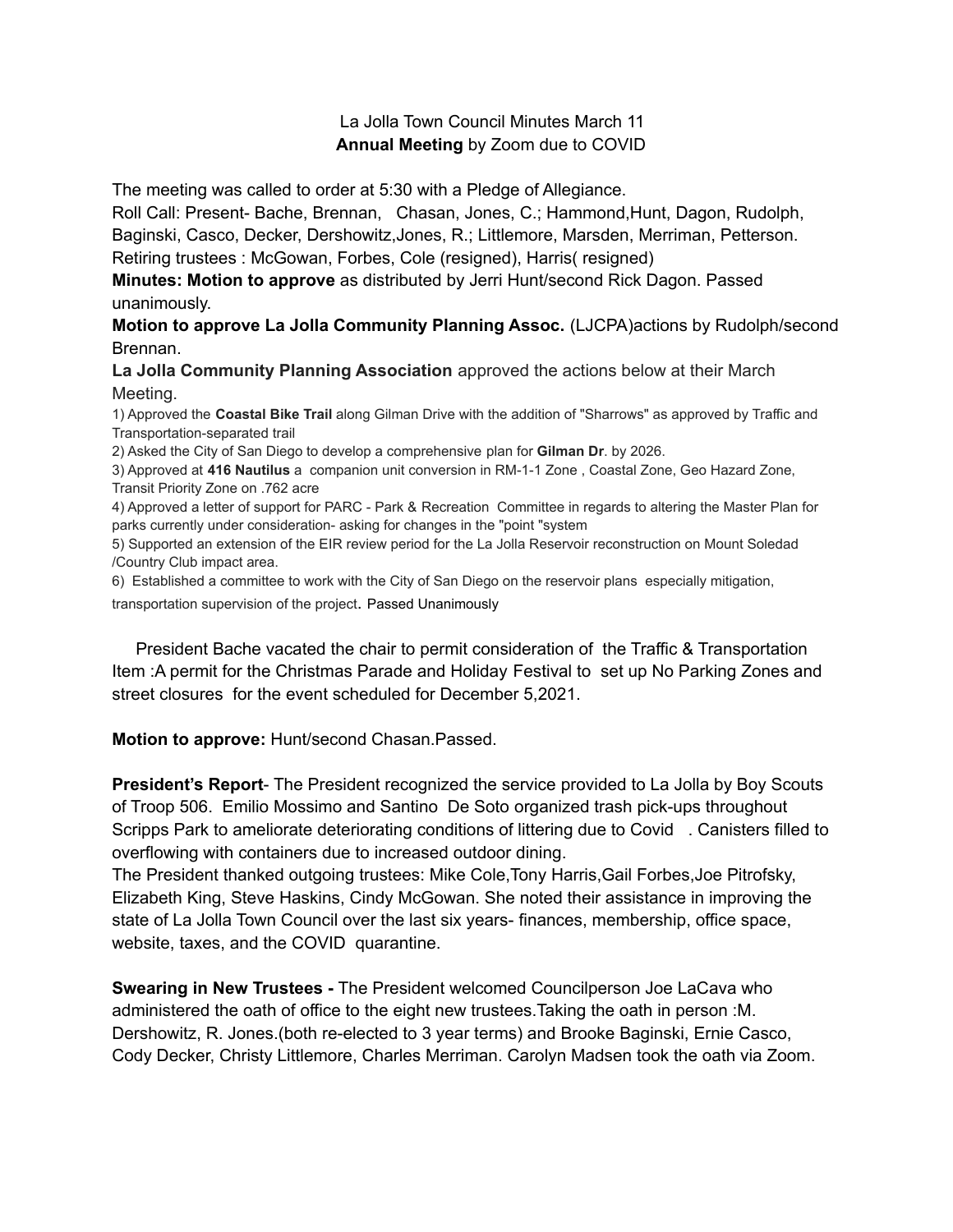## La Jolla Town Council Minutes March 11 **Annual Meeting** by Zoom due to COVID

The meeting was called to order at 5:30 with a Pledge of Allegiance.

Roll Call: Present- Bache, Brennan, Chasan, Jones, C.; Hammond,Hunt, Dagon, Rudolph, Baginski, Casco, Decker, Dershowitz,Jones, R.; Littlemore, Marsden, Merriman, Petterson. Retiring trustees : McGowan, Forbes, Cole (resigned), Harris( resigned)

**Minutes: Motion to approve** as distributed by Jerri Hunt/second Rick Dagon. Passed unanimously.

**Motion to approve La Jolla Community Planning Assoc.** (LJCPA)actions by Rudolph/second Brennan.

**La Jolla Community Planning Association** approved the actions below at their March Meeting.

1) Approved the **Coastal Bike Trail** along Gilman Drive with the addition of "Sharrows" as approved by Traffic and Transportation-separated trail

2) Asked the City of San Diego to develop a comprehensive plan for **Gilman Dr**. by 2026.

3) Approved at **416 Nautilus** a companion unit conversion in RM-1-1 Zone , Coastal Zone, Geo Hazard Zone, Transit Priority Zone on .762 acre

4) Approved a letter of support for PARC - Park & Recreation Committee in regards to altering the Master Plan for parks currently under consideration- asking for changes in the "point "system

5) Supported an extension of the EIR review period for the La Jolla Reservoir reconstruction on Mount Soledad /Country Club impact area.

6) Established a committee to work with the City of San Diego on the reservoir plans especially mitigation,

transportation supervision of the project. Passed Unanimously

President Bache vacated the chair to permit consideration of the Traffic & Transportation Item :A permit for the Christmas Parade and Holiday Festival to set up No Parking Zones and street closures for the event scheduled for December 5,2021.

**Motion to approve:** Hunt/second Chasan.Passed.

**President's Report**- The President recognized the service provided to La Jolla by Boy Scouts of Troop 506. Emilio Mossimo and Santino De Soto organized trash pick-ups throughout Scripps Park to ameliorate deteriorating conditions of littering due to Covid . Canisters filled to overflowing with containers due to increased outdoor dining.

The President thanked outgoing trustees: Mike Cole,Tony Harris,Gail Forbes,Joe Pitrofsky, Elizabeth King, Steve Haskins, Cindy McGowan. She noted their assistance in improving the state of La Jolla Town Council over the last six years- finances, membership, office space, website, taxes, and the COVID quarantine.

**Swearing in New Trustees -** The President welcomed Councilperson Joe LaCava who administered the oath of office to the eight new trustees.Taking the oath in person :M. Dershowitz, R. Jones.(both re-elected to 3 year terms) and Brooke Baginski, Ernie Casco, Cody Decker, Christy Littlemore, Charles Merriman. Carolyn Madsen took the oath via Zoom.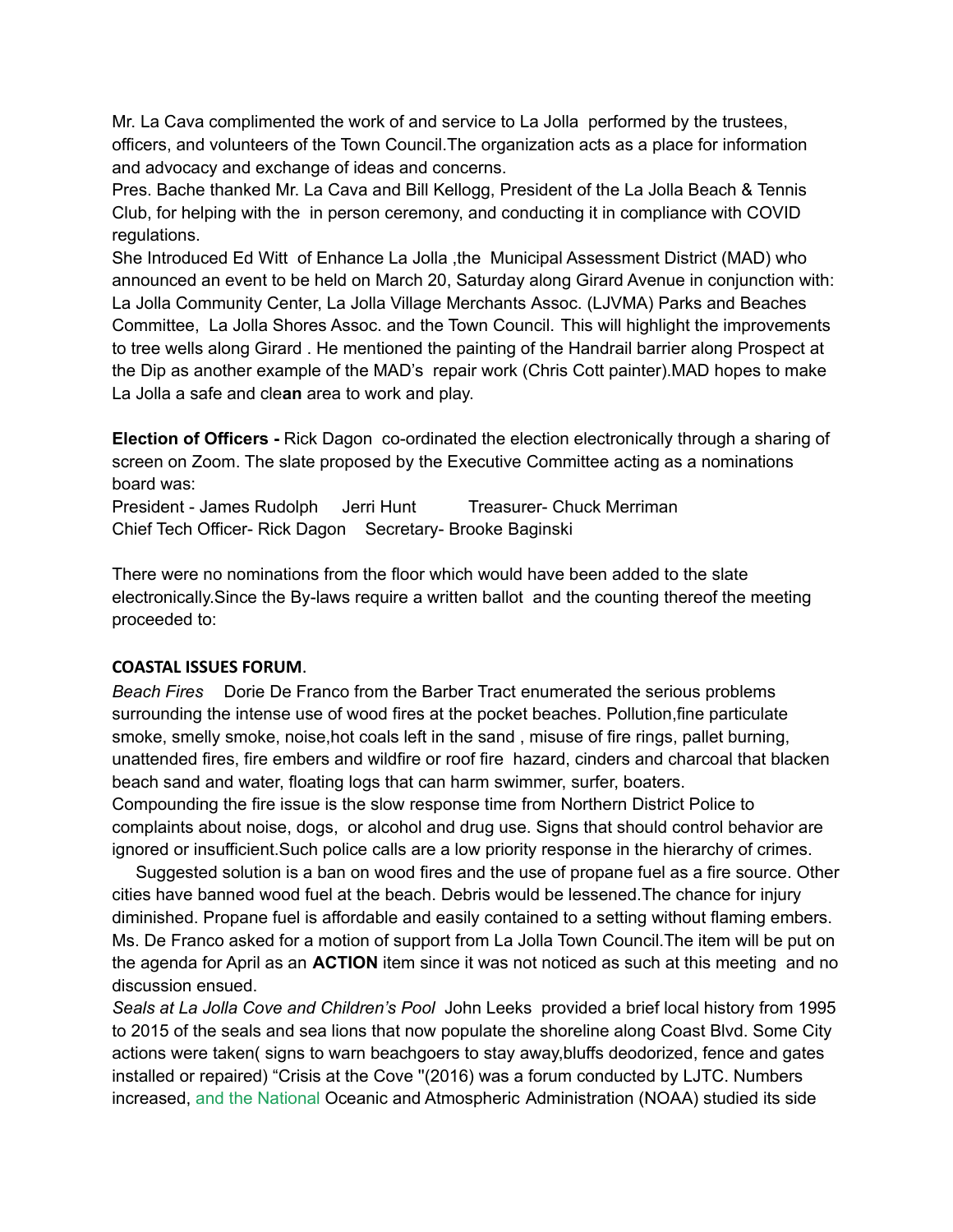Mr. La Cava complimented the work of and service to La Jolla performed by the trustees, officers, and volunteers of the Town Council.The organization acts as a place for information and advocacy and exchange of ideas and concerns.

Pres. Bache thanked Mr. La Cava and Bill Kellogg, President of the La Jolla Beach & Tennis Club, for helping with the in person ceremony, and conducting it in compliance with COVID regulations.

She Introduced Ed Witt of Enhance La Jolla ,the Municipal Assessment District (MAD) who announced an event to be held on March 20, Saturday along Girard Avenue in conjunction with: La Jolla Community Center, La Jolla Village Merchants Assoc. (LJVMA) Parks and Beaches Committee, La Jolla Shores Assoc. and the Town Council. This will highlight the improvements to tree wells along Girard . He mentioned the painting of the Handrail barrier along Prospect at the Dip as another example of the MAD's repair work (Chris Cott painter).MAD hopes to make La Jolla a safe and cle**an** area to work and play.

**Election of Officers -** Rick Dagon co-ordinated the election electronically through a sharing of screen on Zoom. The slate proposed by the Executive Committee acting as a nominations board was:

President - James Rudolph Jerri Hunt Treasurer- Chuck Merriman Chief Tech Officer- Rick Dagon Secretary- Brooke Baginski

There were no nominations from the floor which would have been added to the slate electronically.Since the By-laws require a written ballot and the counting thereof the meeting proceeded to:

## **COASTAL ISSUES FORUM**.

*Beach Fires* Dorie De Franco from the Barber Tract enumerated the serious problems surrounding the intense use of wood fires at the pocket beaches. Pollution,fine particulate smoke, smelly smoke, noise,hot coals left in the sand , misuse of fire rings, pallet burning, unattended fires, fire embers and wildfire or roof fire hazard, cinders and charcoal that blacken beach sand and water, floating logs that can harm swimmer, surfer, boaters.

Compounding the fire issue is the slow response time from Northern District Police to complaints about noise, dogs, or alcohol and drug use. Signs that should control behavior are ignored or insufficient.Such police calls are a low priority response in the hierarchy of crimes.

Suggested solution is a ban on wood fires and the use of propane fuel as a fire source. Other cities have banned wood fuel at the beach. Debris would be lessened.The chance for injury diminished. Propane fuel is affordable and easily contained to a setting without flaming embers. Ms. De Franco asked for a motion of support from La Jolla Town Council.The item will be put on the agenda for April as an **ACTION** item since it was not noticed as such at this meeting and no discussion ensued.

*Seals at La Jolla Cove and Children's Pool* John Leeks provided a brief local history from 1995 to 2015 of the seals and sea lions that now populate the shoreline along Coast Blvd. Some City actions were taken( signs to warn beachgoers to stay away,bluffs deodorized, fence and gates installed or repaired) "Crisis at the Cove ''(2016) was a forum conducted by LJTC. Numbers increased, and the National Oceanic and Atmospheric Administration (NOAA) studied its side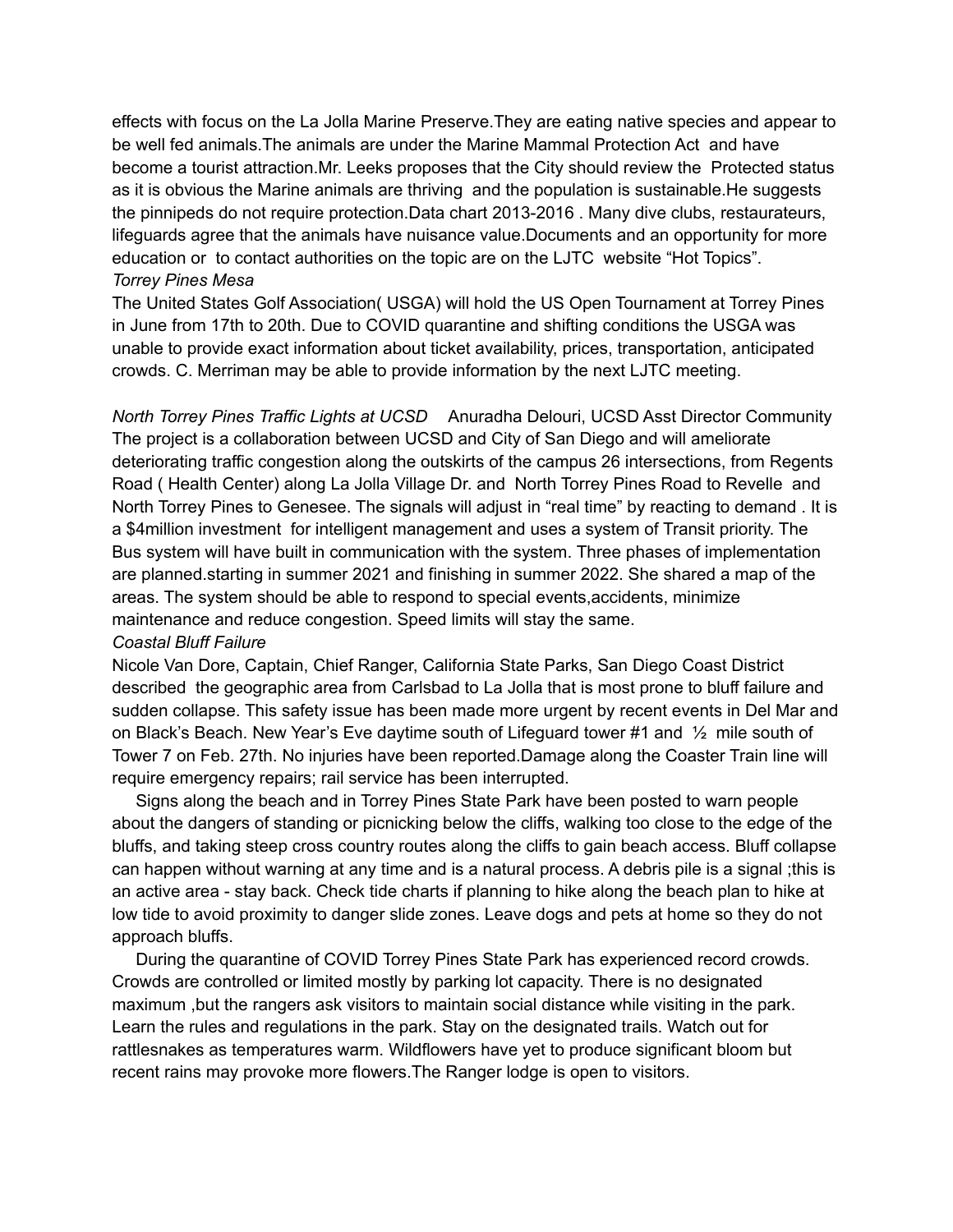effects with focus on the La Jolla Marine Preserve.They are eating native species and appear to be well fed animals.The animals are under the Marine Mammal Protection Act and have become a tourist attraction.Mr. Leeks proposes that the City should review the Protected status as it is obvious the Marine animals are thriving and the population is sustainable.He suggests the pinnipeds do not require protection.Data chart 2013-2016 . Many dive clubs, restaurateurs, lifeguards agree that the animals have nuisance value.Documents and an opportunity for more education or to contact authorities on the topic are on the LJTC website "Hot Topics". *Torrey Pines Mesa*

The United States Golf Association( USGA) will hold the US Open Tournament at Torrey Pines in June from 17th to 20th. Due to COVID quarantine and shifting conditions the USGA was unable to provide exact information about ticket availability, prices, transportation, anticipated crowds. C. Merriman may be able to provide information by the next LJTC meeting.

*North Torrey Pines Traffic Lights at UCSD* Anuradha Delouri, UCSD Asst Director Community The project is a collaboration between UCSD and City of San Diego and will ameliorate deteriorating traffic congestion along the outskirts of the campus 26 intersections, from Regents Road ( Health Center) along La Jolla Village Dr. and North Torrey Pines Road to Revelle and North Torrey Pines to Genesee. The signals will adjust in "real time" by reacting to demand . It is a \$4million investment for intelligent management and uses a system of Transit priority. The Bus system will have built in communication with the system. Three phases of implementation are planned.starting in summer 2021 and finishing in summer 2022. She shared a map of the areas. The system should be able to respond to special events,accidents, minimize maintenance and reduce congestion. Speed limits will stay the same.

## *Coastal Bluff Failure*

Nicole Van Dore, Captain, Chief Ranger, California State Parks, San Diego Coast District described the geographic area from Carlsbad to La Jolla that is most prone to bluff failure and sudden collapse. This safety issue has been made more urgent by recent events in Del Mar and on Black's Beach. New Year's Eve daytime south of Lifeguard tower #1 and ½ mile south of Tower 7 on Feb. 27th. No injuries have been reported.Damage along the Coaster Train line will require emergency repairs; rail service has been interrupted.

Signs along the beach and in Torrey Pines State Park have been posted to warn people about the dangers of standing or picnicking below the cliffs, walking too close to the edge of the bluffs, and taking steep cross country routes along the cliffs to gain beach access. Bluff collapse can happen without warning at any time and is a natural process. A debris pile is a signal ;this is an active area - stay back. Check tide charts if planning to hike along the beach plan to hike at low tide to avoid proximity to danger slide zones. Leave dogs and pets at home so they do not approach bluffs.

During the quarantine of COVID Torrey Pines State Park has experienced record crowds. Crowds are controlled or limited mostly by parking lot capacity. There is no designated maximum ,but the rangers ask visitors to maintain social distance while visiting in the park. Learn the rules and regulations in the park. Stay on the designated trails. Watch out for rattlesnakes as temperatures warm. Wildflowers have yet to produce significant bloom but recent rains may provoke more flowers.The Ranger lodge is open to visitors.